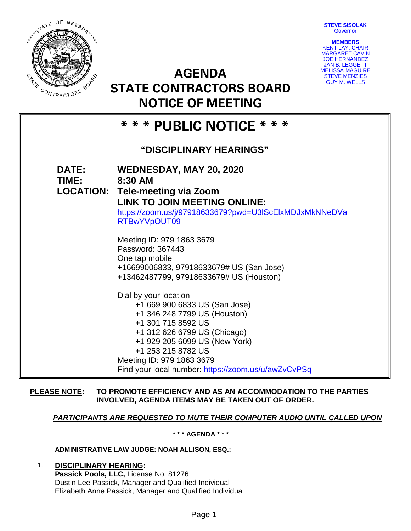**STEVE SISOLAK Governor** 



**AGENDA STATE CONTRACTORS BOARD NOTICE OF MEETING**



# **\* \* \* PUBLIC NOTICE \* \* \***

# **"DISCIPLINARY HEARINGS"**

**DATE: WEDNESDAY, MAY 20, 2020 TIME: 8:30 AM LOCATION: Tele-meeting via Zoom LINK TO JOIN MEETING ONLINE:**  [https://zoom.us/j/97918633679?pwd=U3lScElxMDJxMkNNeDVa](https://zoom.us/j/97918633679?pwd=U3lScElxMDJxMkNNeDVaRTBwYVpOUT09) [RTBwYVpOUT09](https://zoom.us/j/97918633679?pwd=U3lScElxMDJxMkNNeDVaRTBwYVpOUT09) Meeting ID: 979 1863 3679 Password: 367443 One tap mobile +16699006833, 97918633679# US (San Jose) +13462487799, 97918633679# US (Houston) Dial by your location +1 669 900 6833 US (San Jose) +1 346 248 7799 US (Houston) +1 301 715 8592 US +1 312 626 6799 US (Chicago) +1 929 205 6099 US (New York) +1 253 215 8782 US Meeting ID: 979 1863 3679 Find your local number:<https://zoom.us/u/awZvCvPSq>

# **PLEASE NOTE: TO PROMOTE EFFICIENCY AND AS AN ACCOMMODATION TO THE PARTIES INVOLVED, AGENDA ITEMS MAY BE TAKEN OUT OF ORDER.**

# *PARTICIPANTS ARE REQUESTED TO MUTE THEIR COMPUTER AUDIO UNTIL CALLED UPON*

**\* \* \* AGENDA \* \* \***

# **ADMINISTRATIVE LAW JUDGE: NOAH ALLISON, ESQ.:**

1. **DISCIPLINARY HEARING: Passick Pools, LLC,** License No. 81276 Dustin Lee Passick, Manager and Qualified Individual Elizabeth Anne Passick, Manager and Qualified Individual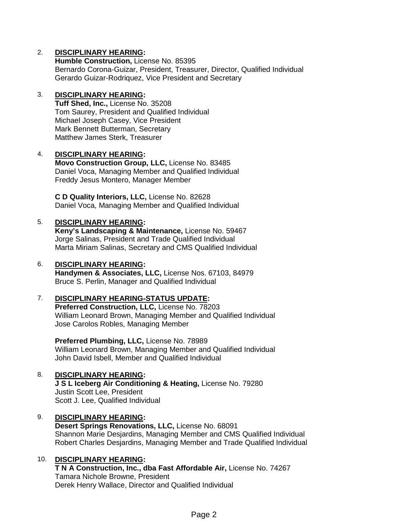# 2. **DISCIPLINARY HEARING:**

**Humble Construction,** License No. 85395 Bernardo Corona-Guizar, President, Treasurer, Director, Qualified Individual Gerardo Guizar-Rodriquez, Vice President and Secretary

#### 3. **DISCIPLINARY HEARING:**

**Tuff Shed, Inc.,** License No. 35208 Tom Saurey, President and Qualified Individual Michael Joseph Casey, Vice President Mark Bennett Butterman, Secretary Matthew James Sterk, Treasurer

### 4. **DISCIPLINARY HEARING:**

**Movo Construction Group, LLC,** License No. 83485 Daniel Voca, Managing Member and Qualified Individual Freddy Jesus Montero, Manager Member

**C D Quality Interiors, LLC,** License No. 82628 Daniel Voca, Managing Member and Qualified Individual

#### 5. **DISCIPLINARY HEARING:**

**Keny's Landscaping & Maintenance,** License No. 59467 Jorge Salinas, President and Trade Qualified Individual Marta Miriam Salinas, Secretary and CMS Qualified Individual

#### 6. **DISCIPLINARY HEARING:**

**Handymen & Associates, LLC,** License Nos. 67103, 84979 Bruce S. Perlin, Manager and Qualified Individual

#### 7. **DISCIPLINARY HEARING-STATUS UPDATE:**

**Preferred Construction, LLC,** License No. 78203 William Leonard Brown, Managing Member and Qualified Individual Jose Carolos Robles, Managing Member

**Preferred Plumbing, LLC,** License No. 78989 William Leonard Brown, Managing Member and Qualified Individual John David Isbell, Member and Qualified Individual

# 8. **DISCIPLINARY HEARING:**

**J S L Iceberg Air Conditioning & Heating,** License No. 79280 Justin Scott Lee, President Scott J. Lee, Qualified Individual

#### 9. **DISCIPLINARY HEARING:**

**Desert Springs Renovations, LLC,** License No. 68091 Shannon Marie Desjardins, Managing Member and CMS Qualified Individual Robert Charles Desjardins, Managing Member and Trade Qualified Individual

# 10. **DISCIPLINARY HEARING:**

**T N A Construction, Inc., dba Fast Affordable Air,** License No. 74267 Tamara Nichole Browne, President Derek Henry Wallace, Director and Qualified Individual